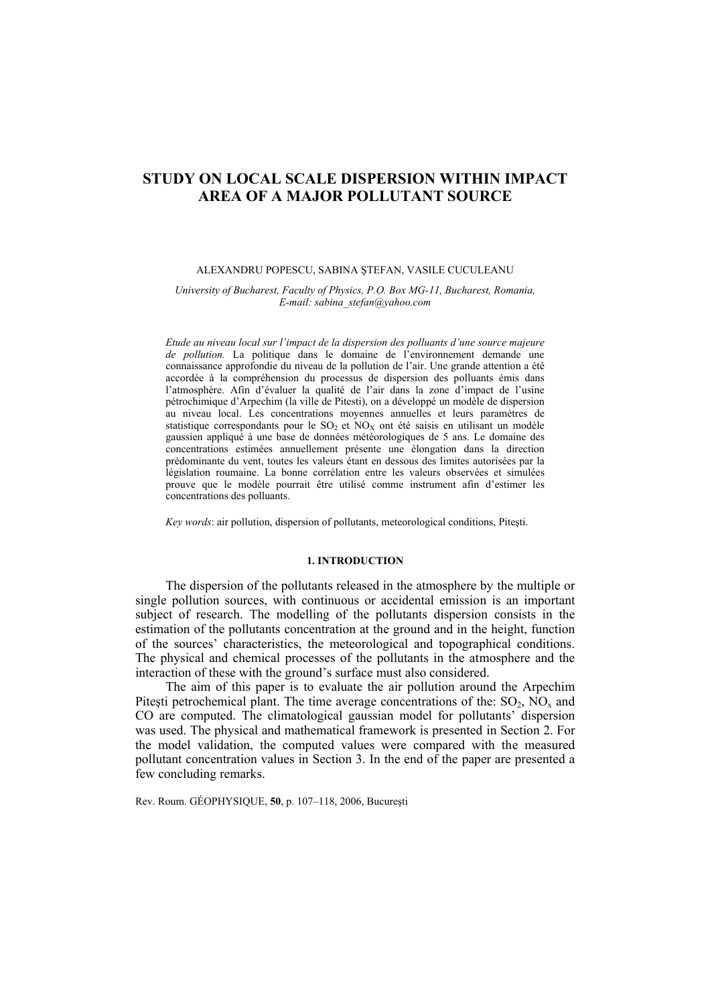# **STUDY ON LOCAL SCALE DISPERSION WITHIN IMPACT AREA OF A MAJOR POLLUTANT SOURCE**

### ALEXANDRU POPESCU, SABINA ŞTEFAN, VASILE CUCULEANU

*University of Bucharest, Faculty of Physics, P.O. Box MG-11, Bucharest, Romania, E-mail: sabina\_stefan@yahoo.com* 

*Etude au niveau local sur l'impact de la dispersion des polluants d'une source majeure de pollution.* La politique dans le domaine de l'environnement demande une connaissance approfondie du niveau de la pollution de l'air. Une grande attention a été accordée à la compréhension du processus de dispersion des polluants émis dans l'atmosphère. Afin d'évaluer la qualité de l'air dans la zone d'impact de l'usine pétrochimique d'Arpechim (la ville de Pitesti), on a développé un modèle de dispersion au niveau local. Les concentrations moyennes annuelles et leurs paramètres de statistique correspondants pour le  $SO_2$  et  $NO_X$  ont été saisis en utilisant un modèle gaussien appliqué à une base de données météorologiques de 5 ans. Le domaine des concentrations estimées annuellement présente une élongation dans la direction prédominante du vent, toutes les valeurs étant en dessous des limites autorisées par la législation roumaine. La bonne corrélation entre les valeurs observées et simulées prouve que le modèle pourrait être utilisé comme instrument afin d'estimer les concentrations des polluants.

*Key words*: air pollution, dispersion of pollutants, meteorological conditions, Piteşti.

### **1. INTRODUCTION**

The dispersion of the pollutants released in the atmosphere by the multiple or single pollution sources, with continuous or accidental emission is an important subject of research. The modelling of the pollutants dispersion consists in the estimation of the pollutants concentration at the ground and in the height, function of the sources' characteristics, the meteorological and topographical conditions. The physical and chemical processes of the pollutants in the atmosphere and the interaction of these with the ground's surface must also considered.

The aim of this paper is to evaluate the air pollution around the Arpechim Pitești petrochemical plant. The time average concentrations of the:  $SO_2$ ,  $\overline{NO_x}$  and CO are computed. The climatological gaussian model for pollutants' dispersion was used. The physical and mathematical framework is presented in Section 2. For the model validation, the computed values were compared with the measured pollutant concentration values in Section 3. In the end of the paper are presented a few concluding remarks.

Rev. Roum. GÉOPHYSIQUE, **50**, p. 107–118, 2006, Bucureşti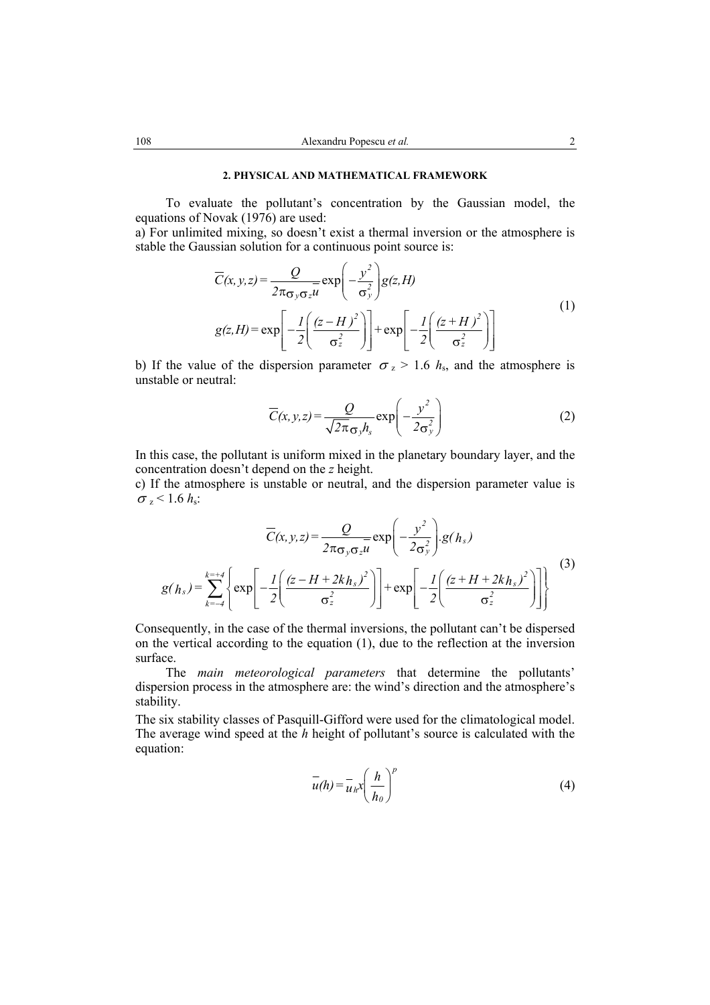## **2. PHYSICAL AND MATHEMATICAL FRAMEWORK**

To evaluate the pollutant's concentration by the Gaussian model, the equations of Novak (1976) are used:

a) For unlimited mixing, so doesn't exist a thermal inversion or the atmosphere is stable the Gaussian solution for a continuous point source is:

$$
\overline{C}(x, y, z) = \frac{Q}{2\pi\sigma_y \sigma_z u} \exp\left(-\frac{y^2}{\sigma_y^2}\right) g(z, H)
$$
  
 
$$
g(z, H) = \exp\left[-\frac{I}{2}\left(\frac{(z - H)^2}{\sigma_z^2}\right)\right] + \exp\left[-\frac{I}{2}\left(\frac{(z + H)^2}{\sigma_z^2}\right)\right]
$$
 (1)

b) If the value of the dispersion parameter  $\sigma_z > 1.6$  *h*<sub>s</sub>, and the atmosphere is unstable or neutral:

$$
\overline{C}(x, y, z) = \frac{Q}{\sqrt{2\pi}\sigma_y h_s} \exp\left(-\frac{y^2}{2\sigma_y^2}\right)
$$
 (2)

In this case, the pollutant is uniform mixed in the planetary boundary layer, and the concentration doesn't depend on the *z* height.

c) If the atmosphere is unstable or neutral, and the dispersion parameter value is  $\sigma_z$  < 1.6  $h_s$ :

$$
\overline{C}(x, y, z) = \frac{Q}{2\pi\sigma_y \sigma_z u} \exp\left(-\frac{y^2}{2\sigma_y^2}\right) \cdot g(h_s)
$$
\n
$$
g(h_s) = \sum_{k=-4}^{k=+4} \left\{ \exp\left[-\frac{I}{2}\left(\frac{(z-H+2k h_s)^2}{\sigma_z^2}\right)\right] + \exp\left[-\frac{I}{2}\left(\frac{(z+H+2k h_s)^2}{\sigma_z^2}\right)\right] \right\}
$$
\n(3)

Consequently, in the case of the thermal inversions, the pollutant can't be dispersed on the vertical according to the equation (1), due to the reflection at the inversion surface.

The *main meteorological parameters* that determine the pollutants' dispersion process in the atmosphere are: the wind's direction and the atmosphere's stability.

The six stability classes of Pasquill-Gifford were used for the climatological model. The average wind speed at the *h* height of pollutant's source is calculated with the equation:

$$
\overline{u}(h) = \overline{u}_h x \left(\frac{h}{h_0}\right)^p
$$
 (4)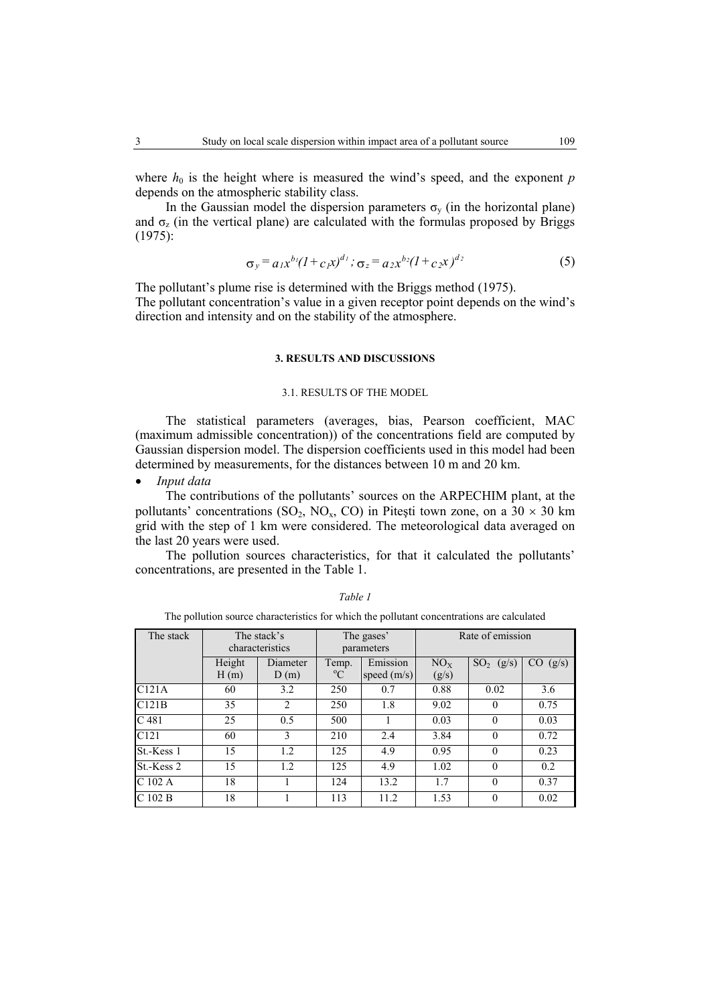where  $h_0$  is the height where is measured the wind's speed, and the exponent *p* depends on the atmospheric stability class.

In the Gaussian model the dispersion parameters  $\sigma_{v}$  (in the horizontal plane) and  $\sigma$ <sub>z</sub> (in the vertical plane) are calculated with the formulas proposed by Briggs (1975):

$$
\sigma_y = a_1 x^{b_1} (1 + c_1 x)^{d_1}; \quad \sigma_z = a_2 x^{b_2} (1 + c_2 x)^{d_2} \tag{5}
$$

The pollutant's plume rise is determined with the Briggs method (1975). The pollutant concentration's value in a given receptor point depends on the wind's direction and intensity and on the stability of the atmosphere.

## **3. RESULTS AND DISCUSSIONS**

## 3.1. RESULTS OF THE MODEL

The statistical parameters (averages, bias, Pearson coefficient, MAC (maximum admissible concentration)) of the concentrations field are computed by Gaussian dispersion model. The dispersion coefficients used in this model had been determined by measurements, for the distances between 10 m and 20 km.

• *Input data*

The contributions of the pollutants' sources on the ARPECHIM plant, at the pollutants' concentrations (SO<sub>2</sub>, NO<sub>x</sub>, CO) in Pitești town zone, on a 30  $\times$  30 km grid with the step of 1 km were considered. The meteorological data averaged on the last 20 years were used.

The pollution sources characteristics, for that it calculated the pollutants' concentrations, are presented in the Table 1.

The pollution source characteristics for which the pollutant concentrations are calculated

| The stack        |                | The stack's<br>characteristics | The gases'<br>parameters |                           | Rate of emission         |                          |              |
|------------------|----------------|--------------------------------|--------------------------|---------------------------|--------------------------|--------------------------|--------------|
|                  | Height<br>H(m) | Diameter<br>D(m)               | Temp.<br>$\rm ^{o}C$     | Emission<br>speed $(m/s)$ | NO <sub>x</sub><br>(g/s) | SO <sub>2</sub><br>(g/s) | CO.<br>(g/s) |
| C121A            | 60             | 3.2                            | 250                      | 0.7                       | 0.88                     | 0.02                     | 3.6          |
| C121B            | 35             | 2                              | 250                      | 1.8                       | 9.02                     | $\theta$                 | 0.75         |
| C <sub>481</sub> | 25             | 0.5                            | 500                      |                           | 0.03                     | 0                        | 0.03         |
| C121             | 60             | 3                              | 210                      | 2.4                       | 3.84                     | $\theta$                 | 0.72         |
| St.-Kess 1       | 15             | 1.2                            | 125                      | 4.9                       | 0.95                     | $\Omega$                 | 0.23         |
| St.-Kess 2       | 15             | 1.2                            | 125                      | 4.9                       | 1.02                     | $\Omega$                 | 0.2          |
| C 102 A          | 18             |                                | 124                      | 13.2                      | 1.7                      | $\theta$                 | 0.37         |
| $C$ 102 B        | 18             |                                | 113                      | 11.2                      | 1.53                     | $\theta$                 | 0.02         |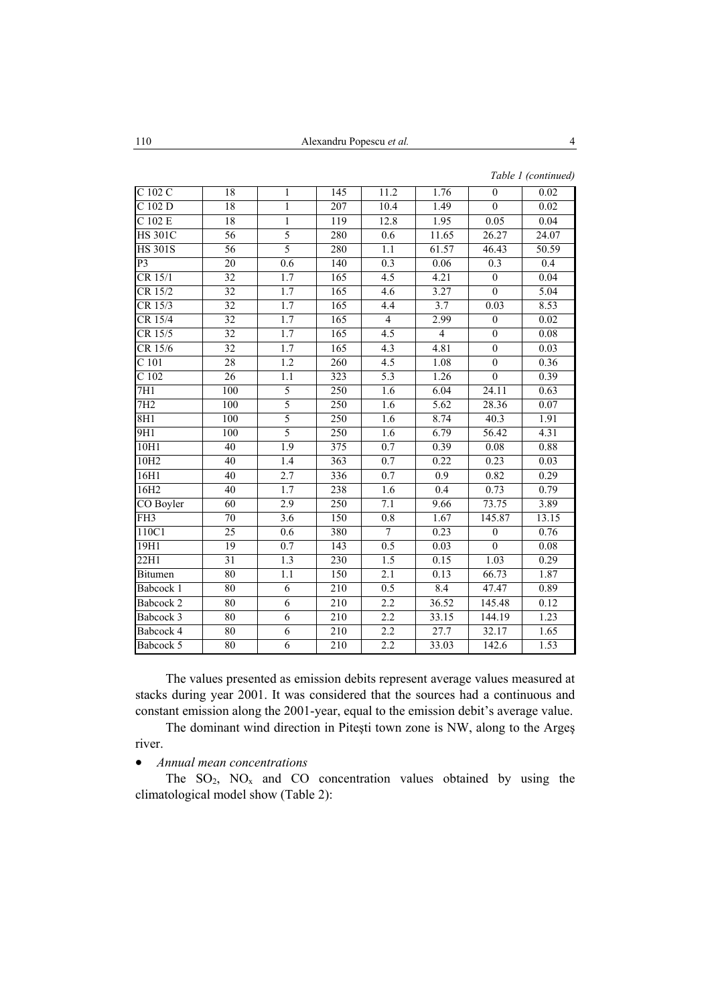| $\overline{C}$ 102 $\overline{C}$<br>18<br>145<br>11.2<br>1.76<br>$\theta$<br>1<br>C 102 D<br>18<br>207<br>1.49<br>$\theta$<br>1<br>10.4<br>$\overline{C}$ 102 E<br>18<br>$\,1$<br>12.8<br>1.95<br>119<br>0.05<br>5<br><b>HS 301C</b><br>56<br>11.65<br>26.27<br>280<br>0.6<br>5<br><b>HS 301S</b><br>56<br>61.57<br>280<br>1.1<br>46.43<br>0.3<br>P3<br>20<br>0.6<br>140<br>0.06<br>$\overline{0.3}$<br>$\overline{0}$<br>$CR$ 15/1<br>32<br>1.7<br>4.5<br>4.21<br>165<br>CR 15/2<br>$\overline{32}$<br>3.27<br>$\overline{0}$<br>1.7<br>165<br>4.6<br>CR 15/3<br>32<br>1.7<br>3.7<br>165<br>4.4<br>0.03<br>32<br>CR 15/4<br>1.7<br>$\overline{4}$<br>2.99<br>165<br>$\overline{0}$ | 0.02<br>0.02<br>0.04<br>24.07<br>50.59<br>0.4<br>0.04<br>5.04<br>8.53<br>0.02 |
|--------------------------------------------------------------------------------------------------------------------------------------------------------------------------------------------------------------------------------------------------------------------------------------------------------------------------------------------------------------------------------------------------------------------------------------------------------------------------------------------------------------------------------------------------------------------------------------------------------------------------------------------------------------------------------------|-------------------------------------------------------------------------------|
|                                                                                                                                                                                                                                                                                                                                                                                                                                                                                                                                                                                                                                                                                      |                                                                               |
|                                                                                                                                                                                                                                                                                                                                                                                                                                                                                                                                                                                                                                                                                      |                                                                               |
|                                                                                                                                                                                                                                                                                                                                                                                                                                                                                                                                                                                                                                                                                      |                                                                               |
|                                                                                                                                                                                                                                                                                                                                                                                                                                                                                                                                                                                                                                                                                      |                                                                               |
|                                                                                                                                                                                                                                                                                                                                                                                                                                                                                                                                                                                                                                                                                      |                                                                               |
|                                                                                                                                                                                                                                                                                                                                                                                                                                                                                                                                                                                                                                                                                      |                                                                               |
|                                                                                                                                                                                                                                                                                                                                                                                                                                                                                                                                                                                                                                                                                      |                                                                               |
|                                                                                                                                                                                                                                                                                                                                                                                                                                                                                                                                                                                                                                                                                      |                                                                               |
|                                                                                                                                                                                                                                                                                                                                                                                                                                                                                                                                                                                                                                                                                      |                                                                               |
|                                                                                                                                                                                                                                                                                                                                                                                                                                                                                                                                                                                                                                                                                      |                                                                               |
| $\overline{0}$<br>4.5<br>CR 15/5<br>32<br>1.7<br>$\overline{4}$<br>165                                                                                                                                                                                                                                                                                                                                                                                                                                                                                                                                                                                                               | 0.08                                                                          |
| $\overline{0}$<br>CR 15/6<br>32<br>1.7<br>4.3<br>4.81<br>165                                                                                                                                                                                                                                                                                                                                                                                                                                                                                                                                                                                                                         | 0.03                                                                          |
| $C$ 101<br>28<br>$\overline{0}$<br>$1.2\,$<br>260<br>4.5<br>1.08                                                                                                                                                                                                                                                                                                                                                                                                                                                                                                                                                                                                                     | 0.36                                                                          |
| C <sub>102</sub><br>5.3<br>26<br>$\overline{1.1}$<br>323<br>1.26<br>$\overline{0}$                                                                                                                                                                                                                                                                                                                                                                                                                                                                                                                                                                                                   | 0.39                                                                          |
| 5<br>7H1<br>24.11<br>100<br>250<br>6.04<br>1.6                                                                                                                                                                                                                                                                                                                                                                                                                                                                                                                                                                                                                                       | 0.63                                                                          |
| 5<br>5.62<br>7H <sub>2</sub><br>100<br>250<br>28.36<br>1.6                                                                                                                                                                                                                                                                                                                                                                                                                                                                                                                                                                                                                           | 0.07                                                                          |
| 5<br>8H1<br>8.74<br>100<br>250<br>40.3<br>1.6                                                                                                                                                                                                                                                                                                                                                                                                                                                                                                                                                                                                                                        | 1.91                                                                          |
| 5<br>6.79<br>9H1<br>$\overline{100}$<br>250<br>56.42<br>1.6                                                                                                                                                                                                                                                                                                                                                                                                                                                                                                                                                                                                                          | 4.31                                                                          |
| 1.9<br>375<br>0.39<br>10H1<br>40<br>0.7<br>0.08                                                                                                                                                                                                                                                                                                                                                                                                                                                                                                                                                                                                                                      | 0.88                                                                          |
| 0.7<br>0.22<br>0.23<br>10H <sub>2</sub><br>40<br>1.4<br>363                                                                                                                                                                                                                                                                                                                                                                                                                                                                                                                                                                                                                          | 0.03                                                                          |
| 16H1<br>2.7<br>0.7<br>0.82<br>40<br>336<br>0.9                                                                                                                                                                                                                                                                                                                                                                                                                                                                                                                                                                                                                                       | 0.29                                                                          |
| 16H <sub>2</sub><br>40<br>1.7<br>238<br>0.4<br>0.73<br>1.6                                                                                                                                                                                                                                                                                                                                                                                                                                                                                                                                                                                                                           | 0.79                                                                          |
| 2.9<br>250<br>73.75<br>CO Boyler<br>60<br>$\overline{7.1}$<br>9.66                                                                                                                                                                                                                                                                                                                                                                                                                                                                                                                                                                                                                   | 3.89                                                                          |
| $\overline{3.6}$<br>145.87<br>FH <sub>3</sub><br>70<br>150<br>0.8<br>1.67                                                                                                                                                                                                                                                                                                                                                                                                                                                                                                                                                                                                            | 13.15                                                                         |
| 110C1<br>25<br>$\overline{7}$<br>0.23<br>0.6<br>380<br>$\mathbf{0}$                                                                                                                                                                                                                                                                                                                                                                                                                                                                                                                                                                                                                  | 0.76                                                                          |
| 19H1<br>19<br>0.7<br>0.5<br>0.03<br>$\theta$<br>143                                                                                                                                                                                                                                                                                                                                                                                                                                                                                                                                                                                                                                  | $0.08\,$                                                                      |
| 31<br>1.3<br>1.5<br>0.15<br>22H1<br>230<br>1.03                                                                                                                                                                                                                                                                                                                                                                                                                                                                                                                                                                                                                                      | 0.29                                                                          |
| 80<br>1.1<br>150<br>2.1<br>0.13<br>66.73<br><b>Bitumen</b>                                                                                                                                                                                                                                                                                                                                                                                                                                                                                                                                                                                                                           | 1.87                                                                          |
| 80<br>$\overline{6}$<br>0.5<br>8.4<br>47.47<br>Babcock 1<br>210                                                                                                                                                                                                                                                                                                                                                                                                                                                                                                                                                                                                                      | 0.89                                                                          |
| $\overline{2.2}$<br>80<br>6<br>210<br>36.52<br>145.48<br>Babcock 2                                                                                                                                                                                                                                                                                                                                                                                                                                                                                                                                                                                                                   | 0.12                                                                          |
| 2.2<br>80<br>$\overline{6}$<br>210<br>33.15<br>144.19<br>Babcock 3                                                                                                                                                                                                                                                                                                                                                                                                                                                                                                                                                                                                                   | 1.23                                                                          |
| 80<br>$\overline{6}$<br>2.2<br>27.7<br>Babcock 4<br>210<br>32.17                                                                                                                                                                                                                                                                                                                                                                                                                                                                                                                                                                                                                     | 1.65                                                                          |
| 6<br>80<br>2.2<br>Babcock 5<br>210<br>33.03<br>142.6                                                                                                                                                                                                                                                                                                                                                                                                                                                                                                                                                                                                                                 | 1.53                                                                          |

The values presented as emission debits represent average values measured at stacks during year 2001. It was considered that the sources had a continuous and constant emission along the 2001-year, equal to the emission debit's average value.

The dominant wind direction in Piteşti town zone is NW, along to the Argeş river.

## • *Annual mean concentrations*

The  $SO_2$ ,  $NO_x$  and  $CO$  concentration values obtained by using the climatological model show (Table 2):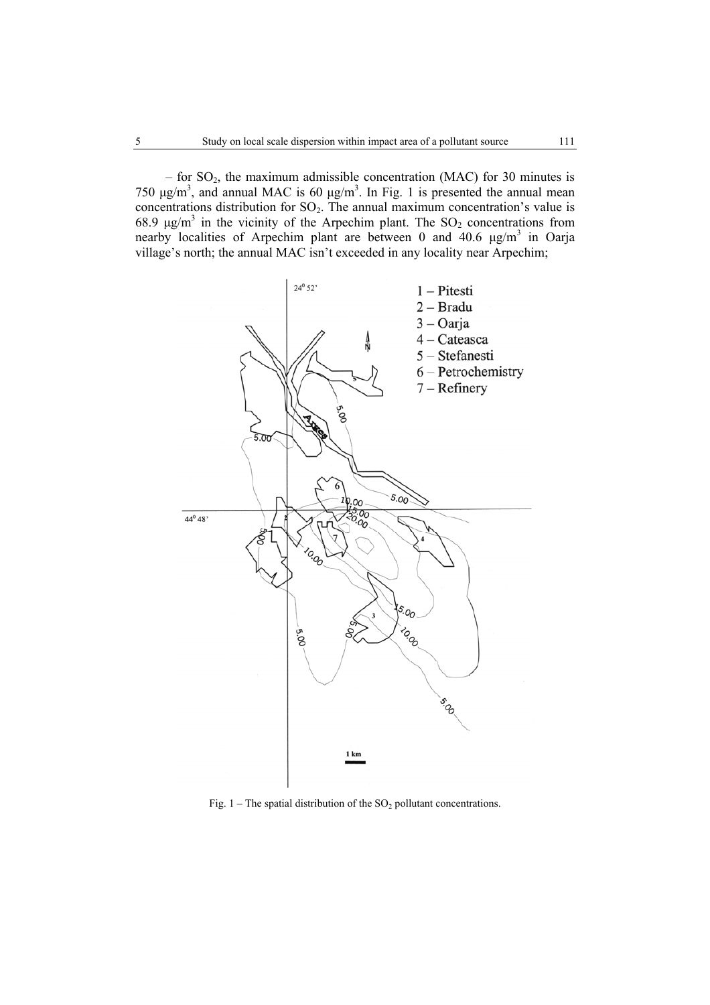– for  $SO_2$ , the maximum admissible concentration (MAC) for 30 minutes is 750  $\mu$ g/m<sup>3</sup>, and annual MAC is 60  $\mu$ g/m<sup>3</sup>. In Fig. 1 is presented the annual mean concentrations distribution for  $SO_2$ . The annual maximum concentration's value is 68.9  $\mu$ g/m<sup>3</sup> in the vicinity of the Arpechim plant. The SO<sub>2</sub> concentrations from nearby localities of Arpechim plant are between 0 and 40.6  $\mu$ g/m<sup>3</sup> in Oarja village's north; the annual MAC isn't exceeded in any locality near Arpechim;



Fig. 1 – The spatial distribution of the  $SO_2$  pollutant concentrations.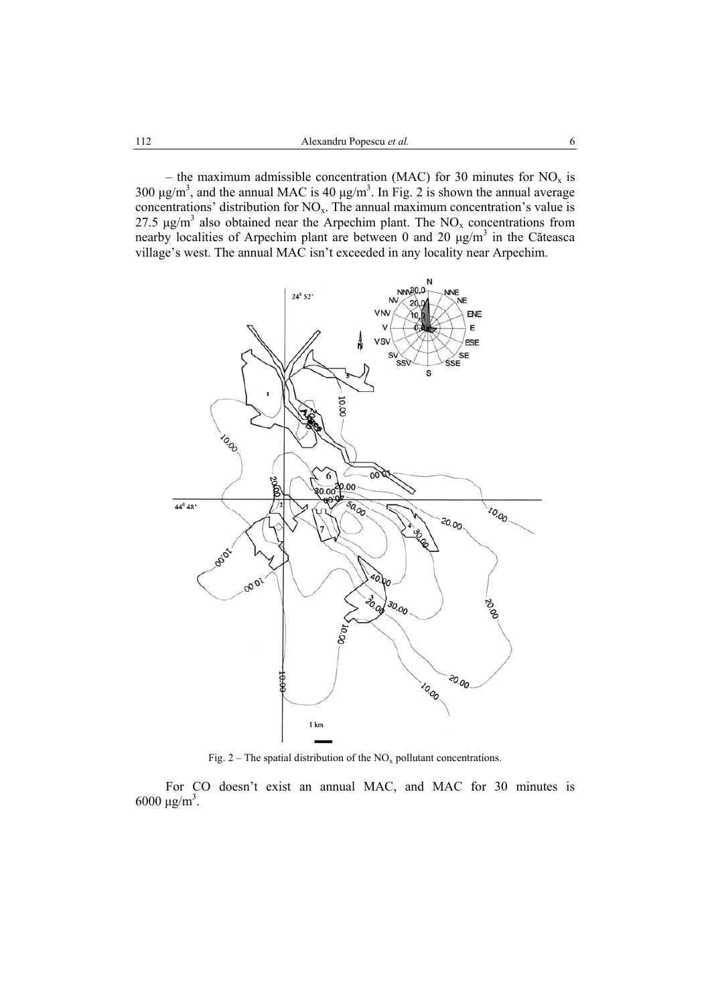– the maximum admissible concentration (MAC) for 30 minutes for  $NO<sub>x</sub>$  is 300  $\mu$ g/m<sup>3</sup>, and the annual MAC is 40  $\mu$ g/m<sup>3</sup>. In Fig. 2 is shown the annual average concentrations' distribution for  $NO<sub>x</sub>$ . The annual maximum concentration's value is 27.5  $\mu$ g/m<sup>3</sup> also obtained near the Arpechim plant. The NO<sub>x</sub> concentrations from nearby localities of Arpechim plant are between 0 and 20  $\mu$ g/m<sup>3</sup> in the Căteasca village's west. The annual MAC isn't exceeded in any locality near Arpechim.



Fig. 2 – The spatial distribution of the  $NO<sub>x</sub>$  pollutant concentrations.

For CO doesn't exist an annual MAC, and MAC for 30 minutes is  $6000 \mu g/m^3$ .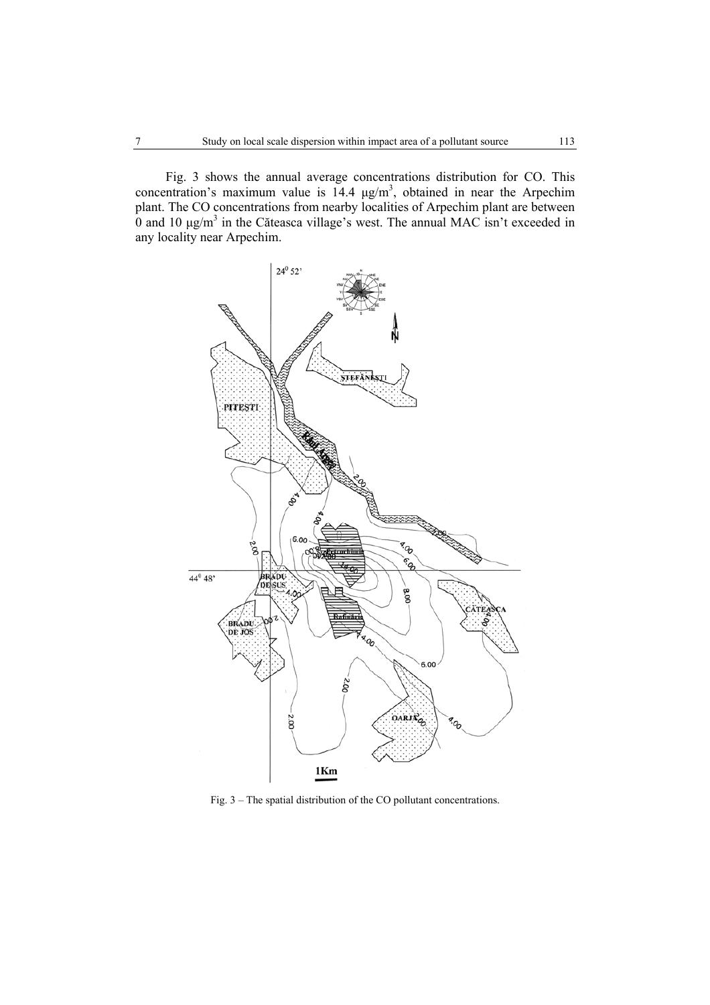Fig. 3 shows the annual average concentrations distribution for CO. This concentration's maximum value is  $14.4 \mu g/m<sup>3</sup>$ , obtained in near the Arpechim plant. The CO concentrations from nearby localities of Arpechim plant are between  $\overline{0}$  and 10  $\mu$ g/m<sup>3</sup> in the Căteasca village's west. The annual MAC isn't exceeded in any locality near Arpechim.



Fig. 3 – The spatial distribution of the CO pollutant concentrations.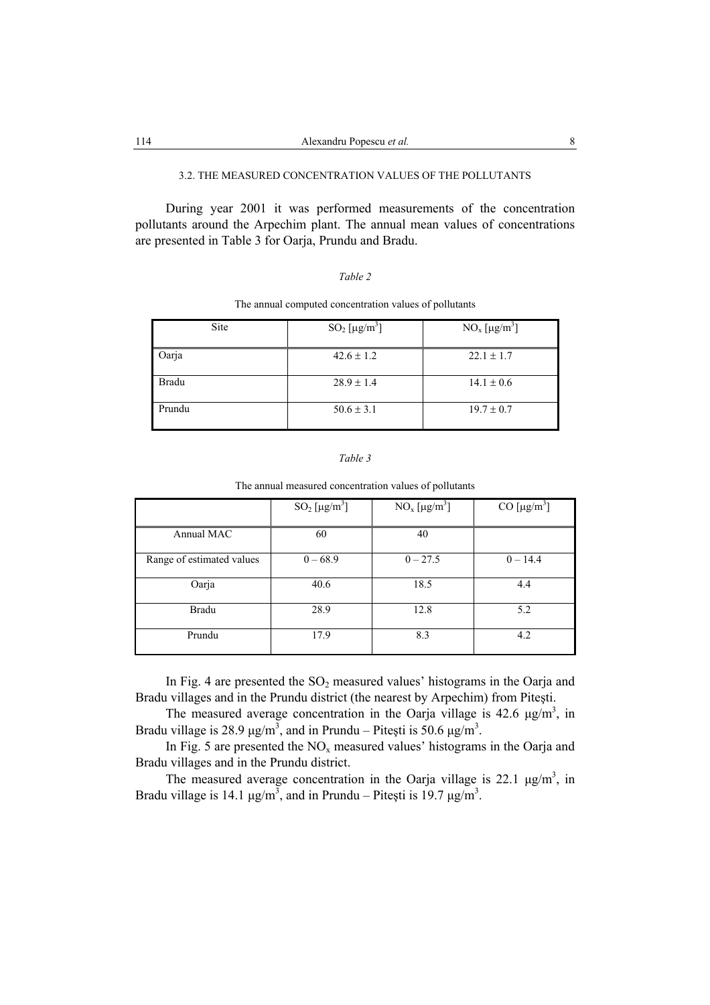## 3.2. THE MEASURED CONCENTRATION VALUES OF THE POLLUTANTS

During year 2001 it was performed measurements of the concentration pollutants around the Arpechim plant. The annual mean values of concentrations are presented in Table 3 for Oarja, Prundu and Bradu.

|--|--|

#### The annual computed concentration values of pollutants

| Site   | $SO_2$ [µg/m <sup>3</sup> ] | $NO_x [\mu g/m^3]$ |
|--------|-----------------------------|--------------------|
| Oarja  | $42.6 \pm 1.2$              | $22.1 \pm 1.7$     |
| Bradu  | $28.9 \pm 1.4$              | $14.1 \pm 0.6$     |
| Prundu | $50.6 \pm 3.1$              | $19.7 \pm 0.7$     |

### *Table 3*

The annual measured concentration values of pollutants

|                           | $SO_2$ [µg/m <sup>3</sup> ] | $NO_x [\mu g/m^3]$ | CO $[\mu g/m^3]$ |
|---------------------------|-----------------------------|--------------------|------------------|
| Annual MAC                | 60                          | 40                 |                  |
| Range of estimated values | $0 - 68.9$                  | $0 - 27.5$         | $0 - 14.4$       |
| Oarja                     | 40.6                        | 18.5               | 4.4              |
| <b>Bradu</b>              | 28.9                        | 12.8               | 5.2              |
| Prundu                    | 17.9                        | 8.3                | 4.2              |

In Fig. 4 are presented the  $SO<sub>2</sub>$  measured values' histograms in the Oarja and Bradu villages and in the Prundu district (the nearest by Arpechim) from Piteşti.

The measured average concentration in the Oarja village is 42.6  $\mu$ g/m<sup>3</sup>, in Bradu village is 28.9  $\mu$ g/m<sup>3</sup>, and in Prundu – Pitești is 50.6  $\mu$ g/m<sup>3</sup>.

In Fig. 5 are presented the  $NO<sub>x</sub>$  measured values' histograms in the Oarja and Bradu villages and in the Prundu district.

The measured average concentration in the Oarja village is 22.1  $\mu$ g/m<sup>3</sup>, in Bradu village is 14.1  $\mu$ g/m<sup>3</sup>, and in Prundu – Pitești is 19.7  $\mu$ g/m<sup>3</sup>.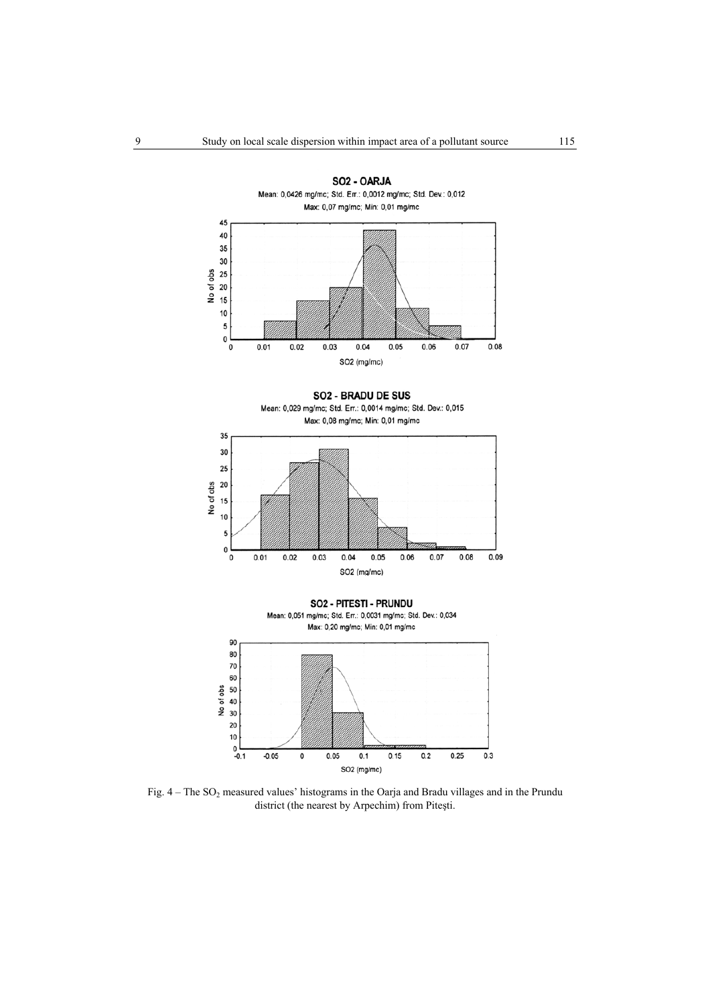

Fig.  $4 -$ The SO<sub>2</sub> measured values' histograms in the Oarja and Bradu villages and in the Prundu district (the nearest by Arpechim) from Piteşti.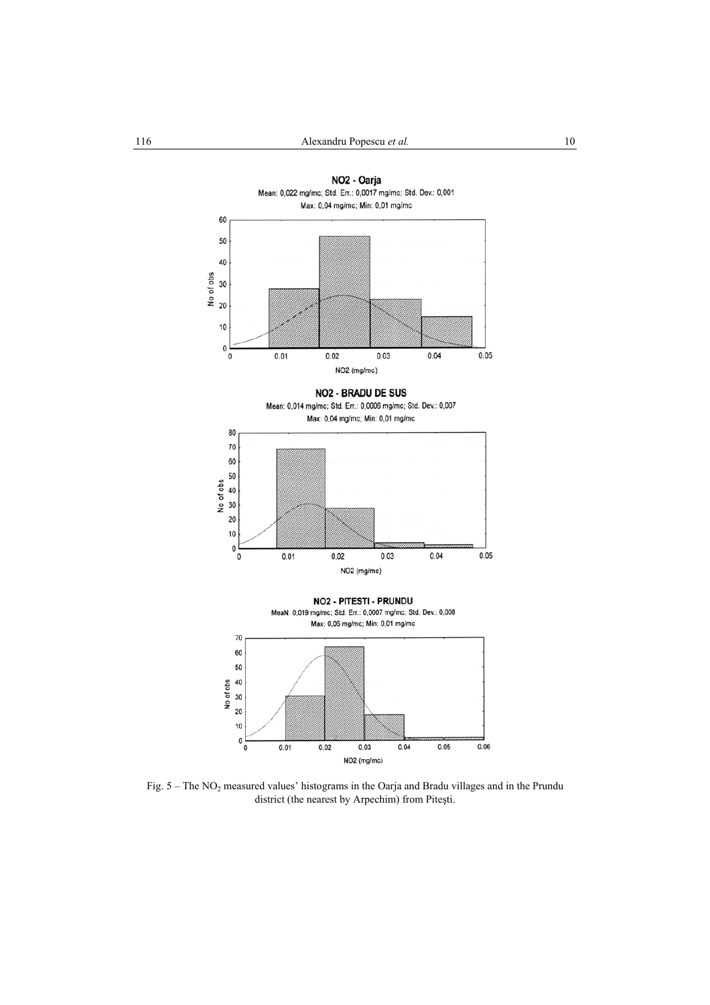

Fig. 5 – The NO<sub>2</sub> measured values' histograms in the Oarja and Bradu villages and in the Prundu district (the nearest by Arpechim) from Piteşti.